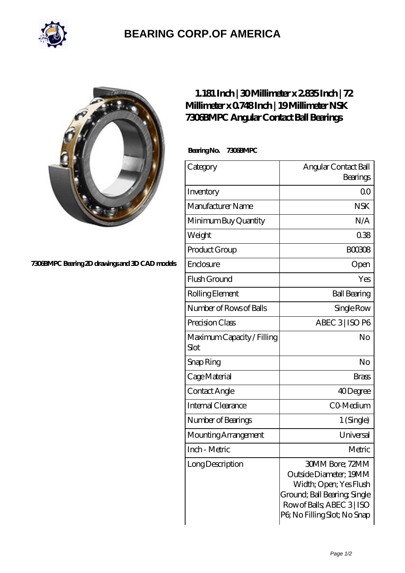

## **[BEARING CORP.OF AMERICA](https://m.bluemondayreview.com)**



## **[7306BMPC Bearing 2D drawings and 3D CAD models](https://m.bluemondayreview.com/pic-172823.html)**

## **[1.181 Inch | 30 Millimeter x 2.835 Inch | 72](https://m.bluemondayreview.com/aw-172823-nsk-7306bmpc-angular-contact-ball-bearings.html) [Millimeter x 0.748 Inch | 19 Millimeter NSK](https://m.bluemondayreview.com/aw-172823-nsk-7306bmpc-angular-contact-ball-bearings.html) [7306BMPC Angular Contact Ball Bearings](https://m.bluemondayreview.com/aw-172823-nsk-7306bmpc-angular-contact-ball-bearings.html)**

 **Bearing No. 7306BMPC**

| Category                           | Angular Contact Ball                                                                                                                                             |
|------------------------------------|------------------------------------------------------------------------------------------------------------------------------------------------------------------|
|                                    | Bearings                                                                                                                                                         |
| Inventory                          | 0 <sup>0</sup>                                                                                                                                                   |
| Manufacturer Name                  | <b>NSK</b>                                                                                                                                                       |
| Minimum Buy Quantity               | N/A                                                                                                                                                              |
| Weight                             | 038                                                                                                                                                              |
| Product Group                      | <b>BOO3O8</b>                                                                                                                                                    |
| Enclosure                          | Open                                                                                                                                                             |
| Flush Ground                       | Yes                                                                                                                                                              |
| Rolling Element                    | <b>Ball Bearing</b>                                                                                                                                              |
| Number of Rows of Balls            | Single Row                                                                                                                                                       |
| Precision Class                    | ABEC 3   ISO P6                                                                                                                                                  |
| Maximum Capacity / Filling<br>Slot | No                                                                                                                                                               |
| Snap Ring                          | No                                                                                                                                                               |
| Cage Material                      | Brass                                                                                                                                                            |
| Contact Angle                      | 40Degree                                                                                                                                                         |
| <b>Internal Clearance</b>          | CO-Medium                                                                                                                                                        |
| Number of Bearings                 | 1 (Single)                                                                                                                                                       |
| Mounting Arrangement               | Universal                                                                                                                                                        |
| Inch - Metric                      | Metric                                                                                                                                                           |
| LongDescription                    | 30MM Bore: 72MM<br>Outside Diameter; 19MM<br>Width; Open; Yes Flush<br>Ground; Ball Bearing, Single<br>Row of Balls, ABEC 3   ISO<br>PG No Filling Slot; No Snap |